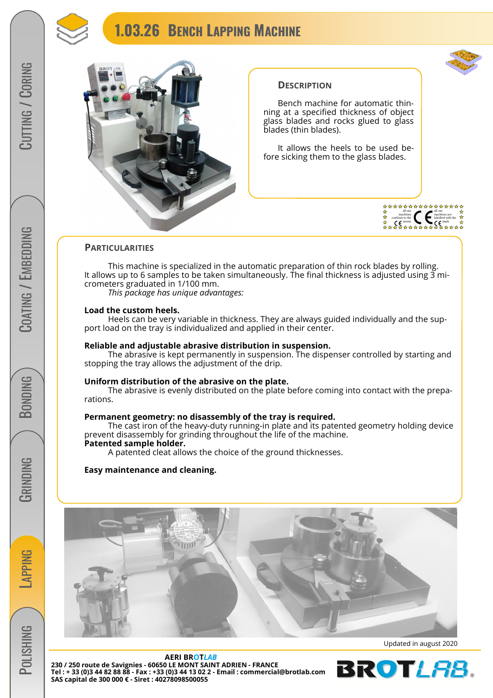



# CORING / CORING

# COATING / EMBEDDING COATING / EMBEDDING

**BONDING** 



**POLISHING** 



# **DESCRIPTION**

 Bench machine for automatic thinning at a specified thickness of object glass blades and rocks glued to glass blades (thin blades).

 It allows the heels to be used before sicking them to the glass blades.



# **PARTICULARITIES**

This machine is specialized in the automatic preparation of thin rock blades by rolling. It allows up to 6 samples to be taken simultaneously. The final thickness is adjusted using  $\overline{3}$  micrometers graduated in 1/100 mm.

 *This package has unique advantages:* 

# **Load the custom heels.**

 Heels can be very variable in thickness. They are always guided individually and the support load on the tray is individualized and applied in their center.

# **Reliable and adjustable abrasive distribution in suspension.**

 The abrasive is kept permanently in suspension. The dispenser controlled by starting and stopping the tray allows the adjustment of the drip.

# **Uniform distribution of the abrasive on the plate.**

 The abrasive is evenly distributed on the plate before coming into contact with the preparations.

# **Permanent geometry: no disassembly of the tray is required.**

 The cast iron of the heavy-duty running-in plate and its patented geometry holding device prevent disassembly for grinding throughout the life of the machine. **Patented sample holder.**

# A patented cleat allows the choice of the ground thicknesses.

# **Easy maintenance and cleaning.**



**AERI BROT***LAB* **230 / 250 route de Savignies - 60650 LE MONT SAINT ADRIEN - FRANCE Tel : + 33 (0)3 44 82 88 88 - Fax : +33 (0)3 44 13 02 2 - Email : commercial@brotlab.com SAS capital de 300 000 € - Siret : 40278098500055** 

Updated in august 2020